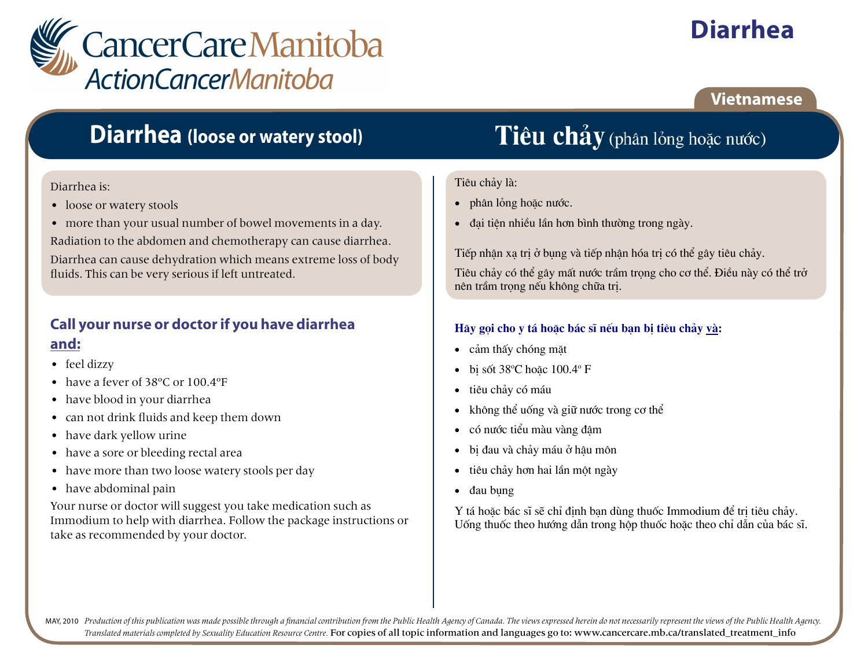

# **Diarrhea**

### **Vietnamese**

## **Diarrhea** (loose or watery stool)

#### Diarrhea is:

- loose or watery stools
- more than your usual number of bowel movements in a day.

Radiation to the abdomen and chemotherapy can cause diarrhea.

Diarrhea can cause dehydration which means extreme loss of body fluids. This can be very serious if left untreated.

### Call your nurse or doctor if you have diarrhea and:

- feel dizzy
- have a fever of  $38^{\circ}$ C or  $100.4^{\circ}$ F
- have blood in your diarrhea
- can not drink fluids and keep them down
- have dark vellow urine
- have a sore or bleeding rectal area
- have more than two loose watery stools per day
- have abdominal pain

Your nurse or doctor will suggest you take medication such as Immodium to help with diarrhea. Follow the package instructions or take as recommended by your doctor.

# Tiêu chảy (phân lỏng hoặc nước)

#### Tiêu chảy là:

- phân lỏng hoặc nước.  $\bullet$
- đại tiên nhiều lần hơn bình thường trong ngày.

Tiếp nhân xa tri ở bung và tiếp nhân hóa tri có thể gây tiêu chảy.

Tiêu chảy có thể gây mất nước trầm trong cho cơ thể. Điều này có thể trở nên trầm trong nếu không chữa tri.

#### Hãy gọi cho y tá hoặc bác sĩ nếu ban bi tiêu chảy và:

- cảm thấy chóng mặt
- bi sốt 38°C hoặc 100.4° F
- tiêu chảy có máu  $\bullet$
- không thể uống và giữ nước trong cơ thể  $\bullet$
- có nước tiểu màu vàng đâm
- bi đau và chảy máu ở hâu môn  $\bullet$
- tiêu chảy hơn hai lần một ngày  $\bullet$
- đau bung  $\bullet$

Y tá hoặc bác sĩ sẽ chỉ định bạn dùng thuốc Immodium để trị tiêu chảy. Uống thuốc theo hướng dẫn trong hộp thuốc hoặc theo chỉ dẫn của bác sĩ.

MAY, 2010 Production of this publication was made possible through a financial contribution from the Public Health Agency of Canada. The views expressed herein do not necessarily represent the views of the Public Health Ag Translated materials completed by Sexuality Education Resource Centre. For copies of all topic information and languages go to: www.cancercare.mb.ca/translated\_treatment\_info